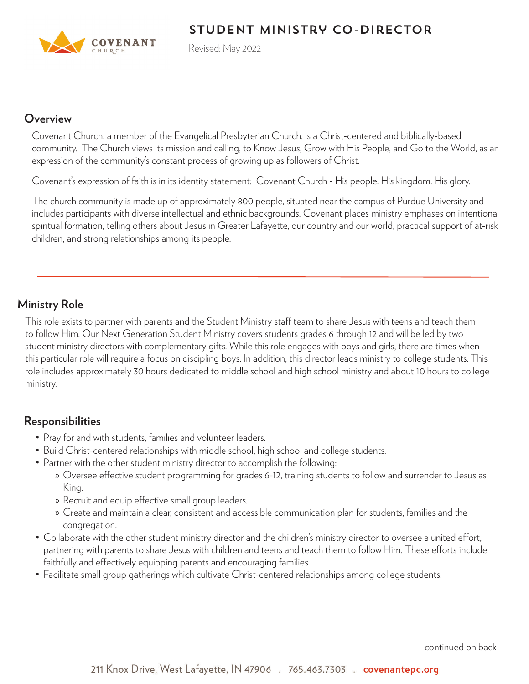# Student Ministry co-Director



Revised: May 2022

#### **Overview**

Covenant Church, a member of the Evangelical Presbyterian Church, is a Christ-centered and biblically-based community. The Church views its mission and calling, to Know Jesus, Grow with His People, and Go to the World, as an expression of the community's constant process of growing up as followers of Christ.

Covenant's expression of faith is in its identity statement: Covenant Church - His people. His kingdom. His glory.

The church community is made up of approximately 800 people, situated near the campus of Purdue University and includes participants with diverse intellectual and ethnic backgrounds. Covenant places ministry emphases on intentional spiritual formation, telling others about Jesus in Greater Lafayette, our country and our world, practical support of at-risk children, and strong relationships among its people.

### **Ministry Role**

This role exists to partner with parents and the Student Ministry staff team to share Jesus with teens and teach them to follow Him. Our Next Generation Student Ministry covers students grades 6 through 12 and will be led by two student ministry directors with complementary gifts. While this role engages with boys and girls, there are times when this particular role will require a focus on discipling boys. In addition, this director leads ministry to college students. This role includes approximately 30 hours dedicated to middle school and high school ministry and about 10 hours to college ministry.

### **Responsibilities**

- Pray for and with students, families and volunteer leaders.
- Build Christ-centered relationships with middle school, high school and college students.
- Partner with the other student ministry director to accomplish the following:
	- » Oversee effective student programming for grades 6-12, training students to follow and surrender to Jesus as King.
	- » Recruit and equip effective small group leaders.
	- » Create and maintain a clear, consistent and accessible communication plan for students, families and the congregation.
- Collaborate with the other student ministry director and the children's ministry director to oversee a united effort, partnering with parents to share Jesus with children and teens and teach them to follow Him. These efforts include faithfully and effectively equipping parents and encouraging families.
- Facilitate small group gatherings which cultivate Christ-centered relationships among college students.

continued on back